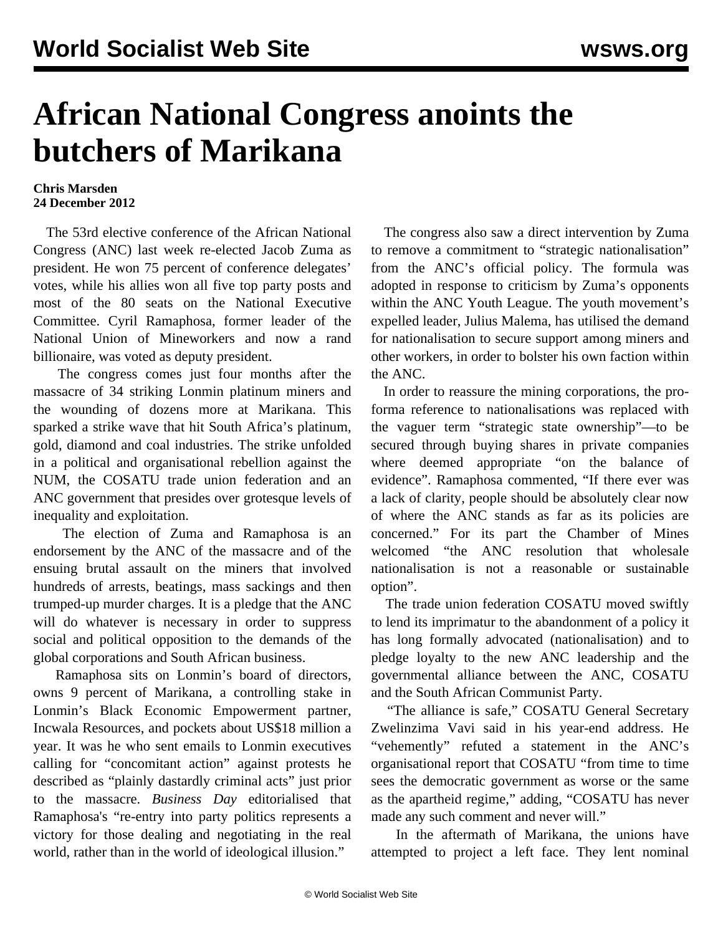## **African National Congress anoints the butchers of Marikana**

## **Chris Marsden 24 December 2012**

 The 53rd elective conference of the African National Congress (ANC) last week re-elected Jacob Zuma as president. He won 75 percent of conference delegates' votes, while his allies won all five top party posts and most of the 80 seats on the National Executive Committee. Cyril Ramaphosa, former leader of the National Union of Mineworkers and now a rand billionaire, was voted as deputy president.

 The congress comes just four months after the massacre of 34 striking Lonmin platinum miners and the wounding of dozens more at Marikana. This sparked a strike wave that hit South Africa's platinum, gold, diamond and coal industries. The strike unfolded in a political and organisational rebellion against the NUM, the COSATU trade union federation and an ANC government that presides over grotesque levels of inequality and exploitation.

 The election of Zuma and Ramaphosa is an endorsement by the ANC of the massacre and of the ensuing brutal assault on the miners that involved hundreds of arrests, beatings, mass sackings and then trumped-up murder charges. It is a pledge that the ANC will do whatever is necessary in order to suppress social and political opposition to the demands of the global corporations and South African business.

 Ramaphosa sits on Lonmin's board of directors, owns 9 percent of Marikana, a controlling stake in Lonmin's Black Economic Empowerment partner, Incwala Resources, and pockets about US\$18 million a year. It was he who sent emails to Lonmin executives calling for "concomitant action" against protests he described as "plainly dastardly criminal acts" just prior to the massacre. *Business Day* editorialised that Ramaphosa's "re-entry into party politics represents a victory for those dealing and negotiating in the real world, rather than in the world of ideological illusion."

 The congress also saw a direct intervention by Zuma to remove a commitment to "strategic nationalisation" from the ANC's official policy. The formula was adopted in response to criticism by Zuma's opponents within the ANC Youth League. The youth movement's expelled leader, Julius Malema, has utilised the demand for nationalisation to secure support among miners and other workers, in order to bolster his own faction within the ANC.

 In order to reassure the mining corporations, the proforma reference to nationalisations was replaced with the vaguer term "strategic state ownership"—to be secured through buying shares in private companies where deemed appropriate "on the balance of evidence". Ramaphosa commented, "If there ever was a lack of clarity, people should be absolutely clear now of where the ANC stands as far as its policies are concerned." For its part the Chamber of Mines welcomed "the ANC resolution that wholesale nationalisation is not a reasonable or sustainable option".

 The trade union federation COSATU moved swiftly to lend its imprimatur to the abandonment of a policy it has long formally advocated (nationalisation) and to pledge loyalty to the new ANC leadership and the governmental alliance between the ANC, COSATU and the South African Communist Party.

 "The alliance is safe," COSATU General Secretary Zwelinzima Vavi said in his year-end address. He "vehemently" refuted a statement in the ANC's organisational report that COSATU "from time to time sees the democratic government as worse or the same as the apartheid regime," adding, "COSATU has never made any such comment and never will."

 In the aftermath of Marikana, the unions have attempted to project a left face. They lent nominal